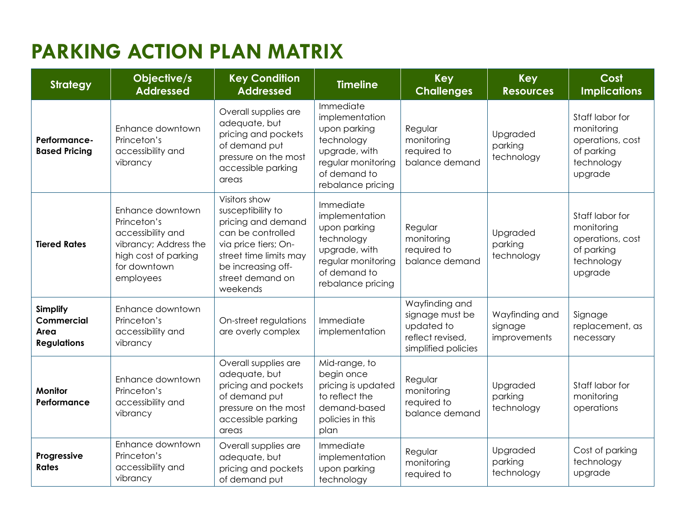# **PARKING ACTION PLAN MATRIX**

| <b>Strategy</b>                                                    | Objective/s<br><b>Addressed</b>                                                                                                    | <b>Key Condition</b><br><b>Addressed</b>                                                                                                                                              | <b>Timeline</b>                                                                                                                       | <b>Key</b><br><b>Challenges</b>                                                            | <b>Key</b><br><b>Resources</b>            | Cost<br><b>Implications</b>                                                              |
|--------------------------------------------------------------------|------------------------------------------------------------------------------------------------------------------------------------|---------------------------------------------------------------------------------------------------------------------------------------------------------------------------------------|---------------------------------------------------------------------------------------------------------------------------------------|--------------------------------------------------------------------------------------------|-------------------------------------------|------------------------------------------------------------------------------------------|
| Performance-<br><b>Based Pricing</b>                               | Enhance downtown<br>Princeton's<br>accessibility and<br>vibrancy                                                                   | Overall supplies are<br>adequate, but<br>pricing and pockets<br>of demand put<br>pressure on the most<br>accessible parking<br>areas                                                  | Immediate<br>implementation<br>upon parking<br>technology<br>upgrade, with<br>regular monitoring<br>of demand to<br>rebalance pricing | Regular<br>monitoring<br>required to<br>balance demand                                     | Upgraded<br>parking<br>technology         | Staff labor for<br>monitoring<br>operations, cost<br>of parking<br>technology<br>upgrade |
| <b>Tiered Rates</b>                                                | Enhance downtown<br>Princeton's<br>accessibility and<br>vibrancy; Address the<br>high cost of parking<br>for downtown<br>employees | Visitors show<br>susceptibility to<br>pricing and demand<br>can be controlled<br>via price tiers; On-<br>street time limits may<br>be increasing off-<br>street demand on<br>weekends | Immediate<br>implementation<br>upon parking<br>technology<br>upgrade, with<br>regular monitoring<br>of demand to<br>rebalance pricing | Regular<br>monitoring<br>required to<br>balance demand                                     | Upgraded<br>parking<br>technology         | Staff labor for<br>monitoring<br>operations, cost<br>of parking<br>technology<br>upgrade |
| <b>Simplify</b><br><b>Commercial</b><br>Area<br><b>Regulations</b> | Enhance downtown<br>Princeton's<br>accessibility and<br>vibrancy                                                                   | On-street regulations<br>are overly complex                                                                                                                                           | Immediate<br>implementation                                                                                                           | Wayfinding and<br>signage must be<br>updated to<br>reflect revised,<br>simplified policies | Wayfinding and<br>signage<br>improvements | Signage<br>replacement, as<br>necessary                                                  |
| <b>Monitor</b><br>Performance                                      | Enhance downtown<br>Princeton's<br>accessibility and<br>vibrancy                                                                   | Overall supplies are<br>adequate, but<br>pricing and pockets<br>of demand put<br>pressure on the most<br>accessible parking<br>areas                                                  | Mid-range, to<br>begin once<br>pricing is updated<br>to reflect the<br>demand-based<br>policies in this<br>plan                       | Regular<br>monitoring<br>required to<br>balance demand                                     | Upgraded<br>parking<br>technology         | Staff labor for<br>monitoring<br>operations                                              |
| Progressive<br><b>Rates</b>                                        | Enhance downtown<br>Princeton's<br>accessibility and<br>vibrancy                                                                   | Overall supplies are<br>adequate, but<br>pricing and pockets<br>of demand put                                                                                                         | Immediate<br>implementation<br>upon parking<br>technology                                                                             | Regular<br>monitoring<br>required to                                                       | Upgraded<br>parking<br>technology         | Cost of parking<br>technology<br>upgrade                                                 |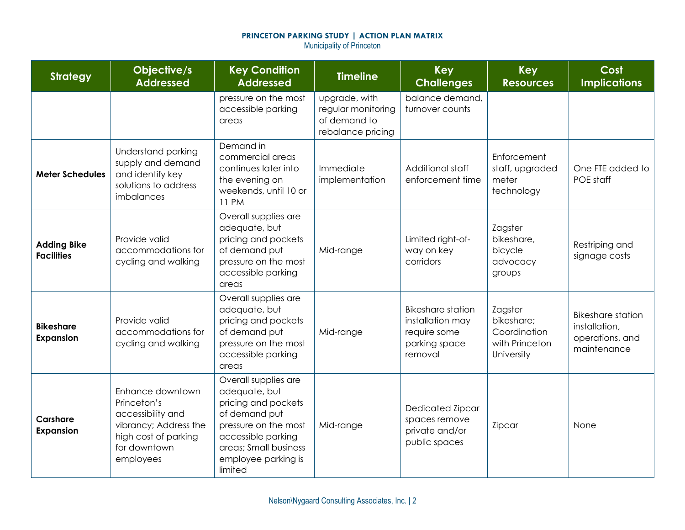### **PRINCETON PARKING STUDY | ACTION PLAN MATRIX** Municipality of Princeton

| <b>Strategy</b>                         | Objective/s<br><b>Addressed</b>                                                                                                    | <b>Key Condition</b><br><b>Addressed</b>                                                                                                                                               | <b>Timeline</b>                                                          | <b>Key</b><br><b>Challenges</b>                                                          | <b>Key</b><br><b>Resources</b>                                        | Cost<br><b>Implications</b>                                                 |
|-----------------------------------------|------------------------------------------------------------------------------------------------------------------------------------|----------------------------------------------------------------------------------------------------------------------------------------------------------------------------------------|--------------------------------------------------------------------------|------------------------------------------------------------------------------------------|-----------------------------------------------------------------------|-----------------------------------------------------------------------------|
|                                         |                                                                                                                                    | pressure on the most<br>accessible parking<br>areas                                                                                                                                    | upgrade, with<br>regular monitoring<br>of demand to<br>rebalance pricing | balance demand,<br>turnover counts                                                       |                                                                       |                                                                             |
| <b>Meter Schedules</b>                  | Understand parking<br>supply and demand<br>and identify key<br>solutions to address<br>imbalances                                  | Demand in<br>commercial areas<br>continues later into<br>the evening on<br>weekends, until 10 or<br><b>11 PM</b>                                                                       | Immediate<br>implementation                                              | Additional staff<br>enforcement time                                                     | Enforcement<br>staff, upgraded<br>meter<br>technology                 | One FTE added to<br>POE staff                                               |
| <b>Adding Bike</b><br><b>Facilities</b> | Provide valid<br>accommodations for<br>cycling and walking                                                                         | Overall supplies are<br>adequate, but<br>pricing and pockets<br>of demand put<br>pressure on the most<br>accessible parking<br>areas                                                   | Mid-range                                                                | Limited right-of-<br>way on key<br>corridors                                             | Zagster<br>bikeshare,<br>bicycle<br>advocacy<br>groups                | Restriping and<br>signage costs                                             |
| <b>Bikeshare</b><br><b>Expansion</b>    | Provide valid<br>accommodations for<br>cycling and walking                                                                         | Overall supplies are<br>adequate, but<br>pricing and pockets<br>of demand put<br>pressure on the most<br>accessible parking<br>areas                                                   | Mid-range                                                                | <b>Bikeshare station</b><br>installation may<br>require some<br>parking space<br>removal | Zagster<br>bikeshare;<br>Coordination<br>with Princeton<br>University | <b>Bikeshare station</b><br>installation,<br>operations, and<br>maintenance |
| <b>Carshare</b><br><b>Expansion</b>     | Enhance downtown<br>Princeton's<br>accessibility and<br>vibrancy; Address the<br>high cost of parking<br>for downtown<br>employees | Overall supplies are<br>adequate, but<br>pricing and pockets<br>of demand put<br>pressure on the most<br>accessible parking<br>areas; Small business<br>employee parking is<br>limited | Mid-range                                                                | Dedicated Zipcar<br>spaces remove<br>private and/or<br>public spaces                     | Zipcar                                                                | None                                                                        |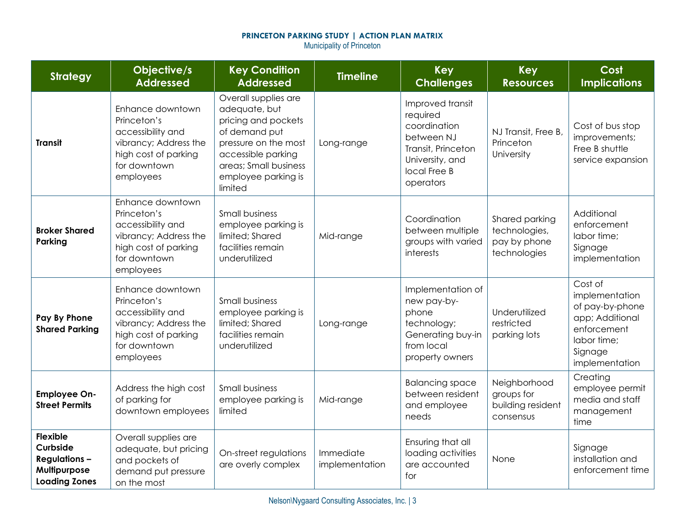## **PRINCETON PARKING STUDY | ACTION PLAN MATRIX**

Municipality of Princeton

| <b>Strategy</b>                                                                            | Objective/s<br><b>Addressed</b>                                                                                                    | <b>Key Condition</b><br><b>Addressed</b>                                                                                                                                               | <b>Timeline</b>             | Key<br><b>Challenges</b>                                                                                                         | <b>Key</b><br><b>Resources</b>                                  | Cost<br><b>Implications</b>                                                                                                |
|--------------------------------------------------------------------------------------------|------------------------------------------------------------------------------------------------------------------------------------|----------------------------------------------------------------------------------------------------------------------------------------------------------------------------------------|-----------------------------|----------------------------------------------------------------------------------------------------------------------------------|-----------------------------------------------------------------|----------------------------------------------------------------------------------------------------------------------------|
| <b>Transit</b>                                                                             | Enhance downtown<br>Princeton's<br>accessibility and<br>vibrancy; Address the<br>high cost of parking<br>for downtown<br>employees | Overall supplies are<br>adequate, but<br>pricing and pockets<br>of demand put<br>pressure on the most<br>accessible parking<br>areas; Small business<br>employee parking is<br>limited | Long-range                  | Improved transit<br>required<br>coordination<br>between NJ<br>Transit, Princeton<br>University, and<br>local Free B<br>operators | NJ Transit, Free B,<br>Princeton<br>University                  | Cost of bus stop<br>improvements;<br>Free B shuttle<br>service expansion                                                   |
| <b>Broker Shared</b><br>Parking                                                            | Enhance downtown<br>Princeton's<br>accessibility and<br>vibrancy; Address the<br>high cost of parking<br>for downtown<br>employees | Small business<br>employee parking is<br>limited; Shared<br>facilities remain<br>underutilized                                                                                         | Mid-range                   | Coordination<br>between multiple<br>groups with varied<br>interests                                                              | Shared parking<br>technologies,<br>pay by phone<br>technologies | Additional<br>enforcement<br>labor time;<br>Signage<br>implementation                                                      |
| Pay By Phone<br><b>Shared Parking</b>                                                      | Enhance downtown<br>Princeton's<br>accessibility and<br>vibrancy; Address the<br>high cost of parking<br>for downtown<br>employees | <b>Small business</b><br>employee parking is<br>limited; Shared<br>facilities remain<br>underutilized                                                                                  | Long-range                  | Implementation of<br>new pay-by-<br>phone<br>technology;<br>Generating buy-in<br>from local<br>property owners                   | Underutilized<br>restricted<br>parking lots                     | Cost of<br>implementation<br>of pay-by-phone<br>app; Additional<br>enforcement<br>labor time;<br>Signage<br>implementation |
| <b>Employee On-</b><br><b>Street Permits</b>                                               | Address the high cost<br>of parking for<br>downtown employees                                                                      | <b>Small business</b><br>employee parking is<br>limited                                                                                                                                | Mid-range                   | <b>Balancing space</b><br>between resident<br>and employee<br>needs                                                              | Neighborhood<br>groups for<br>building resident<br>consensus    | Creating<br>employee permit<br>media and staff<br>management<br>time                                                       |
| <b>Flexible</b><br>Curbside<br><b>Regulations-</b><br>Multipurpose<br><b>Loading Zones</b> | Overall supplies are<br>adequate, but pricing<br>and pockets of<br>demand put pressure<br>on the most                              | On-street regulations<br>are overly complex                                                                                                                                            | Immediate<br>implementation | Ensuring that all<br>loading activities<br>are accounted<br>for                                                                  | None                                                            | Signage<br>installation and<br>enforcement time                                                                            |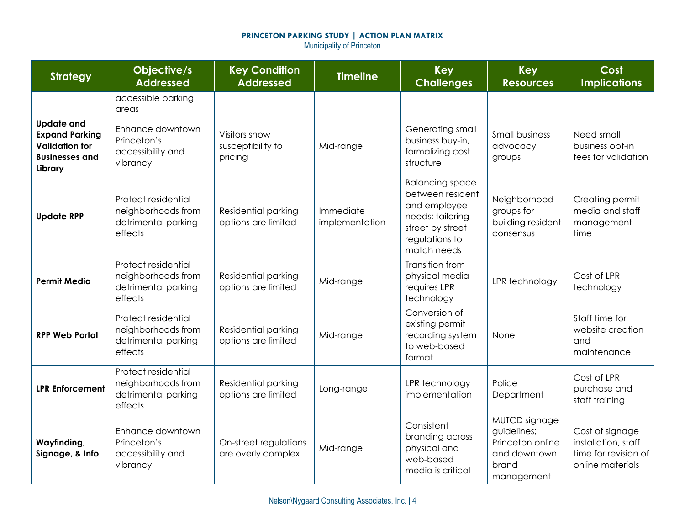# **PRINCETON PARKING STUDY | ACTION PLAN MATRIX**

Municipality of Princeton

| <b>Strategy</b>                                                                                         | Objective/s<br><b>Addressed</b>                                             | <b>Key Condition</b><br><b>Addressed</b>      | <b>Timeline</b>             | <b>Key</b><br><b>Challenges</b>                                                                                                     | <b>Key</b><br><b>Resources</b>                                                          | Cost<br><b>Implications</b>                                                        |
|---------------------------------------------------------------------------------------------------------|-----------------------------------------------------------------------------|-----------------------------------------------|-----------------------------|-------------------------------------------------------------------------------------------------------------------------------------|-----------------------------------------------------------------------------------------|------------------------------------------------------------------------------------|
|                                                                                                         | accessible parking<br>areas                                                 |                                               |                             |                                                                                                                                     |                                                                                         |                                                                                    |
| <b>Update and</b><br><b>Expand Parking</b><br><b>Validation for</b><br><b>Businesses and</b><br>Library | Enhance downtown<br>Princeton's<br>accessibility and<br>vibrancy            | Visitors show<br>susceptibility to<br>pricing | Mid-range                   | Generating small<br>business buy-in,<br>formalizing cost<br>structure                                                               | <b>Small business</b><br>advocacy<br>groups                                             | Need small<br>business opt-in<br>fees for validation                               |
| <b>Update RPP</b>                                                                                       | Protect residential<br>neighborhoods from<br>detrimental parking<br>effects | Residential parking<br>options are limited    | Immediate<br>implementation | <b>Balancing space</b><br>between resident<br>and employee<br>needs; tailoring<br>street by street<br>regulations to<br>match needs | Neighborhood<br>groups for<br>building resident<br>consensus                            | Creating permit<br>media and staff<br>management<br>time                           |
| <b>Permit Media</b>                                                                                     | Protect residential<br>neighborhoods from<br>detrimental parking<br>effects | Residential parking<br>options are limited    | Mid-range                   | Transition from<br>physical media<br>requires LPR<br>technology                                                                     | LPR technology                                                                          | Cost of LPR<br>technology                                                          |
| <b>RPP Web Portal</b>                                                                                   | Protect residential<br>neighborhoods from<br>detrimental parking<br>effects | Residential parking<br>options are limited    | Mid-range                   | Conversion of<br>existing permit<br>recording system<br>to web-based<br>format                                                      | None                                                                                    | Staff time for<br>website creation<br>and<br>maintenance                           |
| <b>LPR Enforcement</b>                                                                                  | Protect residential<br>neighborhoods from<br>detrimental parking<br>effects | Residential parking<br>options are limited    | Long-range                  | LPR technology<br>implementation                                                                                                    | Police<br>Department                                                                    | Cost of LPR<br>purchase and<br>staff training                                      |
| Wayfinding,<br>Signage, & Info                                                                          | Enhance downtown<br>Princeton's<br>accessibility and<br>vibrancy            | On-street regulations<br>are overly complex   | Mid-range                   | Consistent<br>branding across<br>physical and<br>web-based<br>media is critical                                                     | MUTCD signage<br>guidelines;<br>Princeton online<br>and downtown<br>brand<br>management | Cost of signage<br>installation, staff<br>time for revision of<br>online materials |